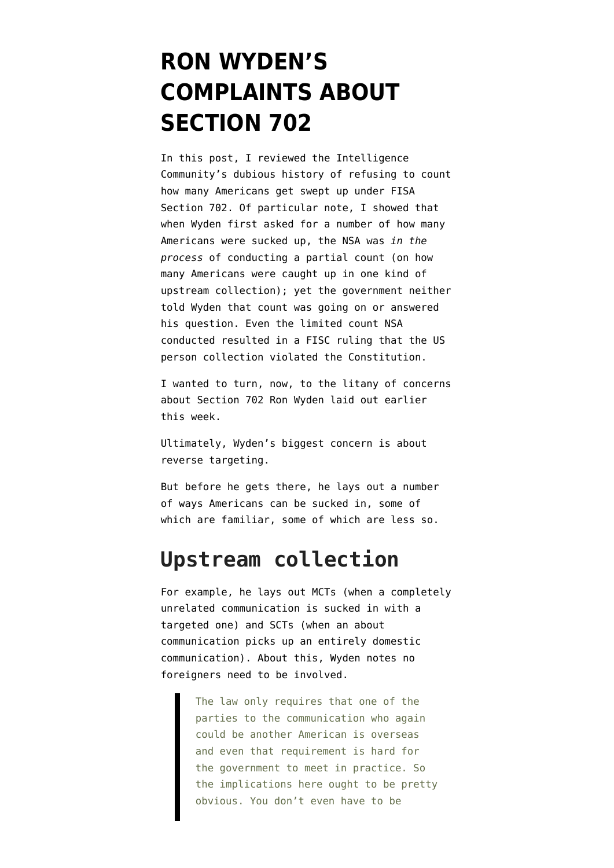# **[RON WYDEN'S](https://www.emptywheel.net/2017/03/17/ron-wydens-complaints-about-section-702/) [COMPLAINTS ABOUT](https://www.emptywheel.net/2017/03/17/ron-wydens-complaints-about-section-702/) [SECTION 702](https://www.emptywheel.net/2017/03/17/ron-wydens-complaints-about-section-702/)**

In this [post](https://www.emptywheel.net/2017/03/17/ron-wydens-history-of-bogus-excuses-for-not-counting-702-us-person-collection/), I reviewed the Intelligence Community's dubious history of refusing to count how many Americans get swept up under FISA Section 702. Of particular note, I showed that when Wyden first asked for a number of how many Americans were sucked up, the NSA was *in the process* of conducting a partial count (on how many Americans were caught up in one kind of upstream collection); yet the government neither told Wyden that count was going on or answered his question. Even the limited count NSA conducted resulted in a FISC ruling that the US person collection violated the Constitution.

I wanted to turn, now, to the litany of concerns about Section 702 [Ron Wyden laid out](https://medium.com/@RonWyden/how-many-americans-are-swept-up-in-warrantless-foreign-surveillance-we-dont-know-2a3dab51634b#.dfi2ymxkx) earlier this week.

Ultimately, Wyden's biggest concern is about reverse targeting.

But before he gets there, he lays out a number of ways Americans can be sucked in, some of which are familiar, some of which are less so.

## **Upstream collection**

For example, he lays out MCTs (when a completely unrelated communication is sucked in with a targeted one) and SCTs (when an about communication picks up an entirely domestic communication). About this, Wyden notes no foreigners need to be involved.

> The law only requires that one of the parties to the communication who again could be another American is overseas and even that requirement is hard for the government to meet in practice. So the implications here ought to be pretty obvious. You don't even have to be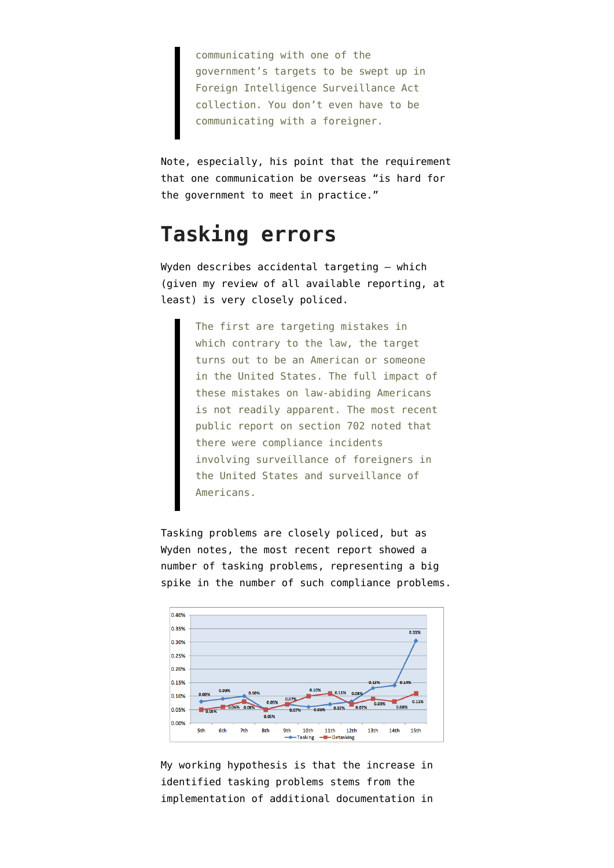communicating with one of the government's targets to be swept up in Foreign Intelligence Surveillance Act collection. You don't even have to be communicating with a foreigner.

Note, especially, his point that the requirement that one communication be overseas "is hard for the government to meet in practice."

## **Tasking errors**

Wyden describes accidental targeting — which (given my review of all available reporting, at least) is very closely policed.

> The first are targeting mistakes in which contrary to the law, the target turns out to be an American or someone in the United States. The full impact of these mistakes on law-abiding Americans is not readily apparent. The most recent public report on section 702 noted that there were compliance incidents involving surveillance of foreigners in the United States and surveillance of Americans.

Tasking problems are closely policed, but as Wyden notes, the [most recent report](https://www.dni.gov/files/documents/icotr/15th-702Joint-Assessment-Nov2016-FINAL-REDACTED1517.pdf) showed a number of tasking problems, representing a big spike in the number of such compliance problems.



My working hypothesis is that the increase in identified tasking problems stems from the implementation of additional documentation in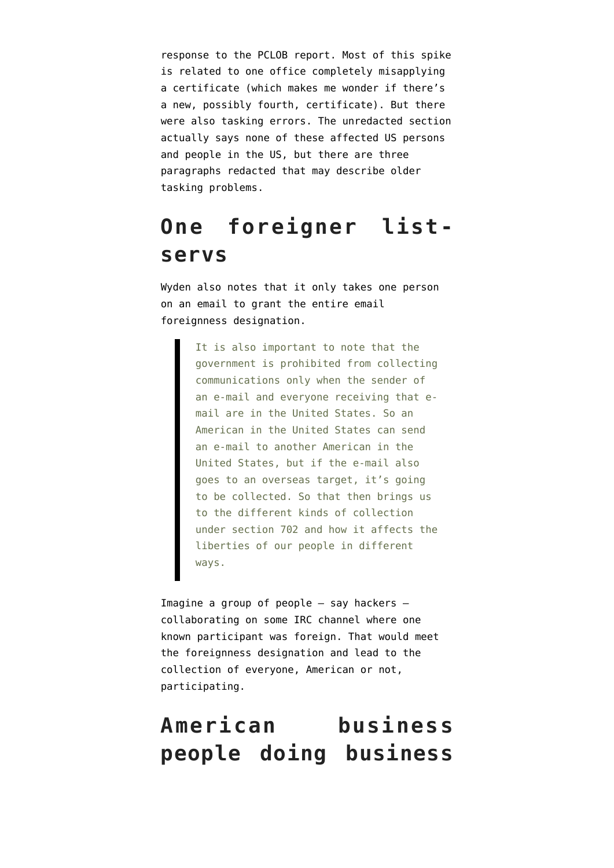response to the PCLOB report. Most of this spike is related to one office completely misapplying a certificate (which makes me wonder if there's a new, possibly fourth, certificate). But there were also tasking errors. The unredacted section actually says none of these affected US persons and people in the US, but there are three paragraphs redacted that may describe older tasking problems.

# **One foreigner listservs**

Wyden also notes that it only takes one person on an email to grant the entire email foreignness designation.

> It is also important to note that the government is prohibited from collecting communications only when the sender of an e-mail and everyone receiving that email are in the United States. So an American in the United States can send an e-mail to another American in the United States, but if the e-mail also goes to an overseas target, it's going to be collected. So that then brings us to the different kinds of collection under section 702 and how it affects the liberties of our people in different ways.

Imagine a group of people  $-$  say hackers  $$ collaborating on some IRC channel where one known participant was foreign. That would meet the foreignness designation and lead to the collection of everyone, American or not, participating.

# **American business people doing business**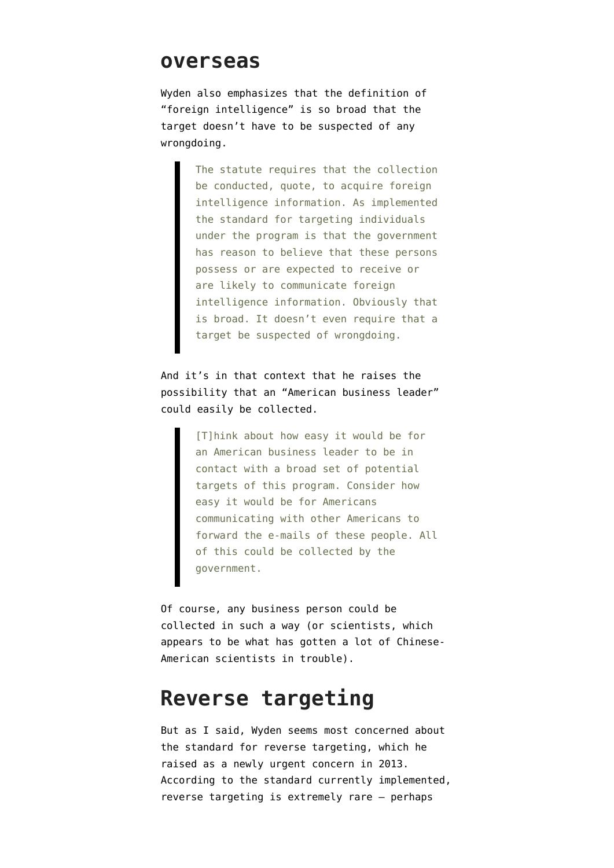#### **overseas**

Wyden also emphasizes that the definition of "foreign intelligence" is so broad that the target doesn't have to be suspected of any wronadoina.

> The statute requires that the collection be conducted, quote, to acquire foreign intelligence information. As implemented the standard for targeting individuals under the program is that the government has reason to believe that these persons possess or are expected to receive or are likely to communicate foreign intelligence information. Obviously that is broad. It doesn't even require that a target be suspected of wrongdoing.

And it's in that context that he raises the possibility that an "American business leader" could easily be collected.

> [T]hink about how easy it would be for an American business leader to be in contact with a broad set of potential targets of this program. Consider how easy it would be for Americans communicating with other Americans to forward the e-mails of these people. All of this could be collected by the government.

Of course, any business person could be collected in such a way (or scientists, which appears to be what has gotten a lot of Chinese-American scientists in trouble).

### **Reverse targeting**

But as I said, Wyden seems most concerned about the standard for reverse targeting, which he [raised as a newly urgent concern in 2013.](https://www.emptywheel.net/2013/09/27/ron-wydens-whats-old-is-new-question-reverse-targeting/) According to the standard currently implemented, reverse targeting is extremely rare — perhaps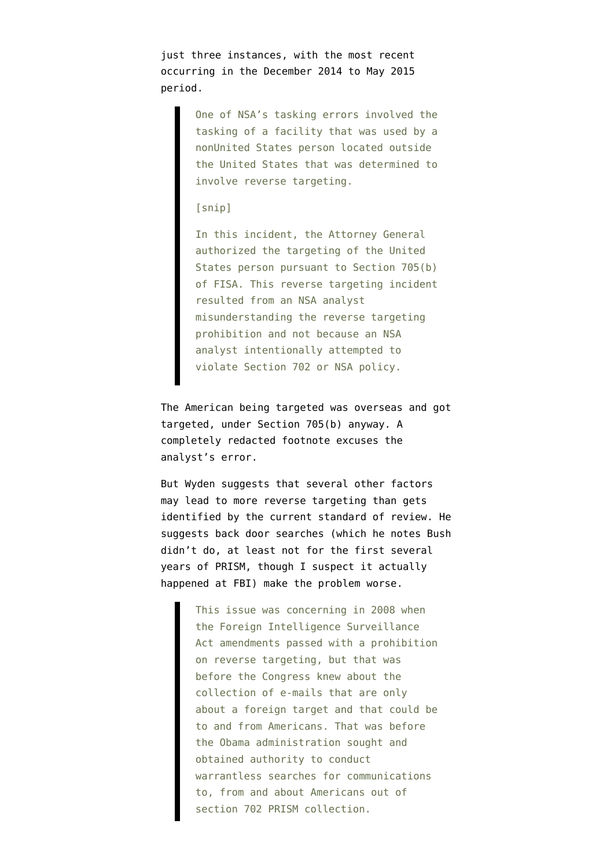just three instances, with the most recent occurring in the [December 2014 to May 2015](https://www.dni.gov/files/documents/icotr/14th-Joint-Assessment-Feb2016-FINAL-REDACTED.pdf) [period](https://www.dni.gov/files/documents/icotr/14th-Joint-Assessment-Feb2016-FINAL-REDACTED.pdf).

> One of NSA's tasking errors involved the tasking of a facility that was used by a nonUnited States person located outside the United States that was determined to involve reverse targeting.

#### [snip]

In this incident, the Attorney General authorized the targeting of the United States person pursuant to Section 705(b) of FISA. This reverse targeting incident resulted from an NSA analyst misunderstanding the reverse targeting prohibition and not because an NSA analyst intentionally attempted to violate Section 702 or NSA policy.

The American being targeted was overseas and got targeted, under Section 705(b) anyway. A completely redacted footnote excuses the analyst's error.

But Wyden suggests that several other factors may lead to more reverse targeting than gets identified by the current standard of review. He suggests back door searches (which he notes Bush didn't do, at least not for the first several years of PRISM, though I suspect it actually happened at FBI) make the problem worse.

> This issue was concerning in 2008 when the Foreign Intelligence Surveillance Act amendments passed with a prohibition on reverse targeting, but that was before the Congress knew about the collection of e-mails that are only about a foreign target and that could be to and from Americans. That was before the Obama administration sought and obtained authority to conduct warrantless searches for communications to, from and about Americans out of section 702 PRISM collection.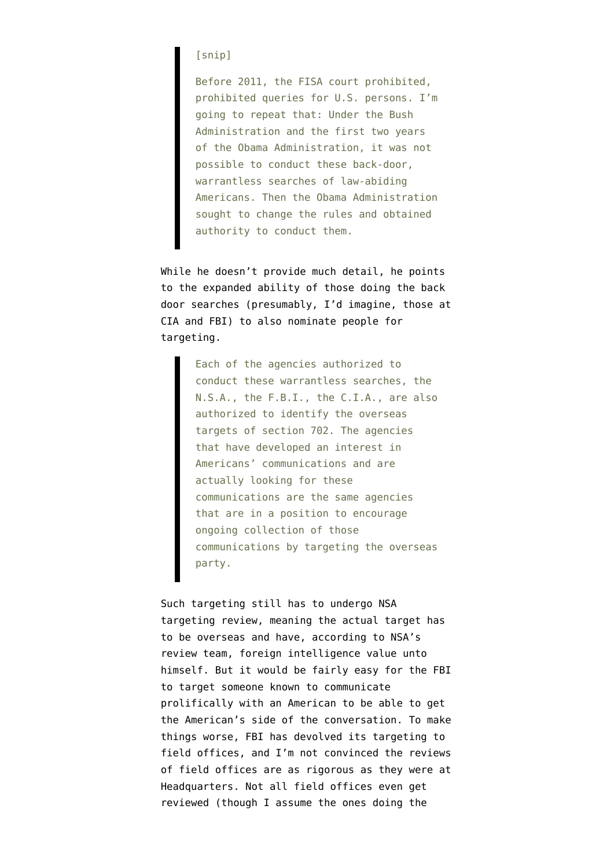#### [snip]

Before 2011, the FISA court prohibited, prohibited queries for U.S. persons. I'm going to repeat that: Under the Bush Administration and the first two years of the Obama Administration, it was not possible to conduct these back-door, warrantless searches of law-abiding Americans. Then the Obama Administration sought to change the rules and obtained authority to conduct them.

While he doesn't provide much detail, he points to the expanded ability of those doing the back door searches (presumably, I'd imagine, those at CIA and FBI) to also nominate people for targeting.

> Each of the agencies authorized to conduct these warrantless searches, the N.S.A., the F.B.I., the C.I.A., are also authorized to identify the overseas targets of section 702. The agencies that have developed an interest in Americans' communications and are actually looking for these communications are the same agencies that are in a position to encourage ongoing collection of those communications by targeting the overseas party.

Such targeting still has to undergo NSA targeting review, meaning the actual target has to be overseas and have, according to NSA's review team, foreign intelligence value unto himself. But it would be fairly easy for the FBI to target someone known to communicate prolifically with an American to be able to get the American's side of the conversation. To make things worse, FBI has devolved its targeting to field offices, and I'm not convinced the reviews of field offices are as rigorous as they were at Headquarters. Not all field offices even get reviewed (though I assume the ones doing the